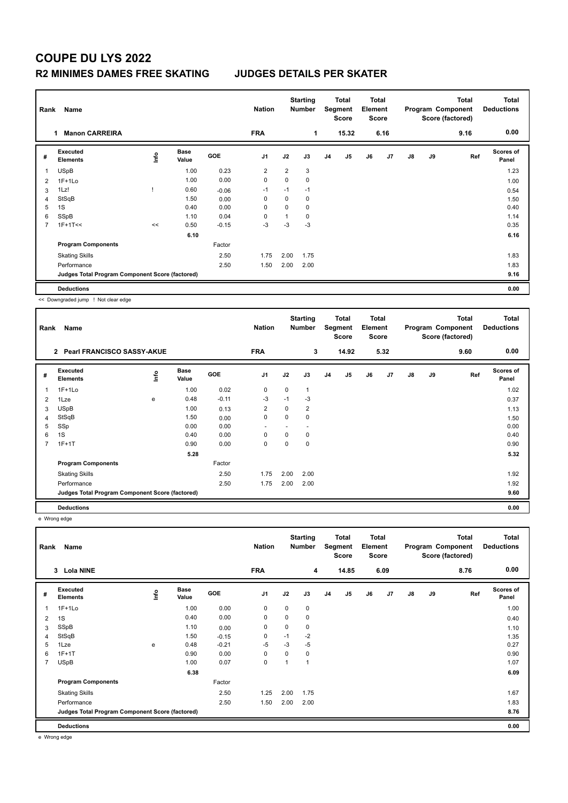## **COUPE DU LYS 2022 R2 MINIMES DAMES FREE SKATING JUDGES DETAILS PER SKATER**

|                | Name<br>Rank                                    |      |                      |            | <b>Nation</b>  |      | <b>Starting</b><br><b>Number</b> | Total<br>Segment<br><b>Score</b> |       | <b>Total</b><br>Element<br><b>Score</b> |      | <b>Total</b><br>Program Component<br>Score (factored) |    |      | <b>Total</b><br><b>Deductions</b> |
|----------------|-------------------------------------------------|------|----------------------|------------|----------------|------|----------------------------------|----------------------------------|-------|-----------------------------------------|------|-------------------------------------------------------|----|------|-----------------------------------|
|                | <b>Manon CARREIRA</b><br>1.                     |      |                      |            | <b>FRA</b>     |      | 1                                |                                  | 15.32 |                                         | 6.16 |                                                       |    | 9.16 | 0.00                              |
| #              | Executed<br><b>Elements</b>                     | ١nf٥ | <b>Base</b><br>Value | <b>GOE</b> | J <sub>1</sub> | J2   | J3                               | J <sub>4</sub>                   | J5    | J6                                      | J7   | $\mathsf{J}8$                                         | J9 | Ref  | <b>Scores of</b><br>Panel         |
| 1              | <b>USpB</b>                                     |      | 1.00                 | 0.23       | 2              | 2    | 3                                |                                  |       |                                         |      |                                                       |    |      | 1.23                              |
| 2              | $1F+1Lo$                                        |      | 1.00                 | 0.00       | $\mathbf 0$    | 0    | $\pmb{0}$                        |                                  |       |                                         |      |                                                       |    |      | 1.00                              |
| 3              | 1Lz!                                            |      | 0.60                 | $-0.06$    | $-1$           | $-1$ | $-1$                             |                                  |       |                                         |      |                                                       |    |      | 0.54                              |
| 4              | StSqB                                           |      | 1.50                 | 0.00       | 0              | 0    | 0                                |                                  |       |                                         |      |                                                       |    |      | 1.50                              |
| 5              | 1S                                              |      | 0.40                 | 0.00       | 0              | 0    | $\mathbf 0$                      |                                  |       |                                         |      |                                                       |    |      | 0.40                              |
| 6              | SSpB                                            |      | 1.10                 | 0.04       | 0              | 1    | $\mathbf 0$                      |                                  |       |                                         |      |                                                       |    |      | 1.14                              |
| $\overline{7}$ | $1F+1T<<$                                       | <<   | 0.50                 | $-0.15$    | $-3$           | $-3$ | $-3$                             |                                  |       |                                         |      |                                                       |    |      | 0.35                              |
|                |                                                 |      | 6.10                 |            |                |      |                                  |                                  |       |                                         |      |                                                       |    |      | 6.16                              |
|                | <b>Program Components</b>                       |      |                      | Factor     |                |      |                                  |                                  |       |                                         |      |                                                       |    |      |                                   |
|                | <b>Skating Skills</b>                           |      |                      | 2.50       | 1.75           | 2.00 | 1.75                             |                                  |       |                                         |      |                                                       |    |      | 1.83                              |
|                | Performance                                     |      |                      | 2.50       | 1.50           | 2.00 | 2.00                             |                                  |       |                                         |      |                                                       |    |      | 1.83                              |
|                | Judges Total Program Component Score (factored) |      |                      |            |                |      |                                  |                                  |       |                                         |      |                                                       |    |      | 9.16                              |
|                | <b>Deductions</b>                               |      |                      |            |                |      |                                  |                                  |       |                                         |      |                                                       |    |      | 0.00                              |

<< Downgraded jump ! Not clear edge

| Rank           | Name                                                |                |                      |         | <b>Nation</b>  |             | <b>Starting</b><br><b>Number</b> |                | Total<br>Segment<br><b>Score</b> | <b>Total</b><br>Element<br>Score |      |               |    | <b>Total</b><br>Program Component<br>Score (factored) | <b>Total</b><br><b>Deductions</b> |
|----------------|-----------------------------------------------------|----------------|----------------------|---------|----------------|-------------|----------------------------------|----------------|----------------------------------|----------------------------------|------|---------------|----|-------------------------------------------------------|-----------------------------------|
|                | $\overline{2}$<br><b>Pearl FRANCISCO SASSY-AKUE</b> |                |                      |         | <b>FRA</b>     |             | 3                                |                | 14.92                            |                                  | 5.32 |               |    | 9.60                                                  | 0.00                              |
| #              | Executed<br><b>Elements</b>                         | $\frac{6}{10}$ | <b>Base</b><br>Value | GOE     | J <sub>1</sub> | J2          | J3                               | J <sub>4</sub> | J5                               | J6                               | J7   | $\mathsf{J}8$ | J9 | Ref                                                   | <b>Scores of</b><br>Panel         |
| 1              | $1F+1Lo$                                            |                | 1.00                 | 0.02    | 0              | $\mathbf 0$ | $\mathbf 1$                      |                |                                  |                                  |      |               |    |                                                       | 1.02                              |
| $\overline{2}$ | 1Lze                                                | e              | 0.48                 | $-0.11$ | $-3$           | $-1$        | -3                               |                |                                  |                                  |      |               |    |                                                       | 0.37                              |
| 3              | <b>USpB</b>                                         |                | 1.00                 | 0.13    | 2              | 0           | $\overline{2}$                   |                |                                  |                                  |      |               |    |                                                       | 1.13                              |
| 4              | StSqB                                               |                | 1.50                 | 0.00    | 0              | 0           | 0                                |                |                                  |                                  |      |               |    |                                                       | 1.50                              |
| 5              | SSp                                                 |                | 0.00                 | 0.00    | $\blacksquare$ |             | $\overline{\phantom{a}}$         |                |                                  |                                  |      |               |    |                                                       | 0.00                              |
| 6              | 1S                                                  |                | 0.40                 | 0.00    | 0              | 0           | 0                                |                |                                  |                                  |      |               |    |                                                       | 0.40                              |
| 7              | $1F+1T$                                             |                | 0.90                 | 0.00    | 0              | 0           | $\mathbf 0$                      |                |                                  |                                  |      |               |    |                                                       | 0.90                              |
|                |                                                     |                | 5.28                 |         |                |             |                                  |                |                                  |                                  |      |               |    |                                                       | 5.32                              |
|                | <b>Program Components</b>                           |                |                      | Factor  |                |             |                                  |                |                                  |                                  |      |               |    |                                                       |                                   |
|                | <b>Skating Skills</b>                               |                |                      | 2.50    | 1.75           | 2.00        | 2.00                             |                |                                  |                                  |      |               |    |                                                       | 1.92                              |
|                | Performance                                         |                |                      | 2.50    | 1.75           | 2.00        | 2.00                             |                |                                  |                                  |      |               |    |                                                       | 1.92                              |
|                | Judges Total Program Component Score (factored)     |                |                      |         |                |             |                                  |                |                                  |                                  |      |               |    |                                                       | 9.60                              |
|                | <b>Deductions</b>                                   |                |                      |         |                |             |                                  |                |                                  |                                  |      |               |    |                                                       | 0.00                              |

e Wrong edge

| Name<br>Rank   |                                                 |      |                      | <b>Nation</b> |                | <b>Starting</b><br><b>Number</b> | Total<br>Segment<br><b>Score</b> |                | <b>Total</b><br>Element<br><b>Score</b> |    | <b>Total</b><br>Program Component<br>Score (factored) |               |    | <b>Total</b><br><b>Deductions</b> |                           |
|----------------|-------------------------------------------------|------|----------------------|---------------|----------------|----------------------------------|----------------------------------|----------------|-----------------------------------------|----|-------------------------------------------------------|---------------|----|-----------------------------------|---------------------------|
|                | 3 Lola NINE                                     |      |                      |               | <b>FRA</b>     |                                  | 4                                |                | 14.85                                   |    | 6.09                                                  |               |    | 8.76                              | 0.00                      |
| #              | Executed<br><b>Elements</b>                     | lnfo | <b>Base</b><br>Value | <b>GOE</b>    | J <sub>1</sub> | J2                               | J3                               | J <sub>4</sub> | J5                                      | J6 | J7                                                    | $\mathsf{J}8$ | J9 | Ref                               | <b>Scores of</b><br>Panel |
|                | $1F+1Lo$                                        |      | 1.00                 | 0.00          | $\mathbf 0$    | $\mathbf 0$                      | 0                                |                |                                         |    |                                                       |               |    |                                   | 1.00                      |
| 2              | 1S                                              |      | 0.40                 | 0.00          | $\mathbf 0$    | 0                                | 0                                |                |                                         |    |                                                       |               |    |                                   | 0.40                      |
| 3              | SSpB                                            |      | 1.10                 | 0.00          | $\pmb{0}$      | $\mathbf 0$                      | 0                                |                |                                         |    |                                                       |               |    |                                   | 1.10                      |
| $\overline{4}$ | StSqB                                           |      | 1.50                 | $-0.15$       | 0              | $-1$                             | $-2$                             |                |                                         |    |                                                       |               |    |                                   | 1.35                      |
| 5              | 1Lze                                            | e    | 0.48                 | $-0.21$       | $-5$           | $-3$                             | $-5$                             |                |                                         |    |                                                       |               |    |                                   | 0.27                      |
| 6              | $1F+1T$                                         |      | 0.90                 | 0.00          | 0              | 0                                | 0                                |                |                                         |    |                                                       |               |    |                                   | 0.90                      |
| 7              | <b>USpB</b>                                     |      | 1.00                 | 0.07          | $\mathbf 0$    | 1                                | 1                                |                |                                         |    |                                                       |               |    |                                   | 1.07                      |
|                |                                                 |      | 6.38                 |               |                |                                  |                                  |                |                                         |    |                                                       |               |    |                                   | 6.09                      |
|                | <b>Program Components</b>                       |      |                      | Factor        |                |                                  |                                  |                |                                         |    |                                                       |               |    |                                   |                           |
|                | <b>Skating Skills</b>                           |      |                      | 2.50          | 1.25           | 2.00                             | 1.75                             |                |                                         |    |                                                       |               |    |                                   | 1.67                      |
|                | Performance                                     |      |                      | 2.50          | 1.50           | 2.00                             | 2.00                             |                |                                         |    |                                                       |               |    |                                   | 1.83                      |
|                | Judges Total Program Component Score (factored) |      |                      |               |                |                                  |                                  |                |                                         |    |                                                       |               |    |                                   | 8.76                      |
|                | <b>Deductions</b>                               |      |                      |               |                |                                  |                                  |                |                                         |    |                                                       |               |    |                                   | 0.00                      |

e Wrong edge